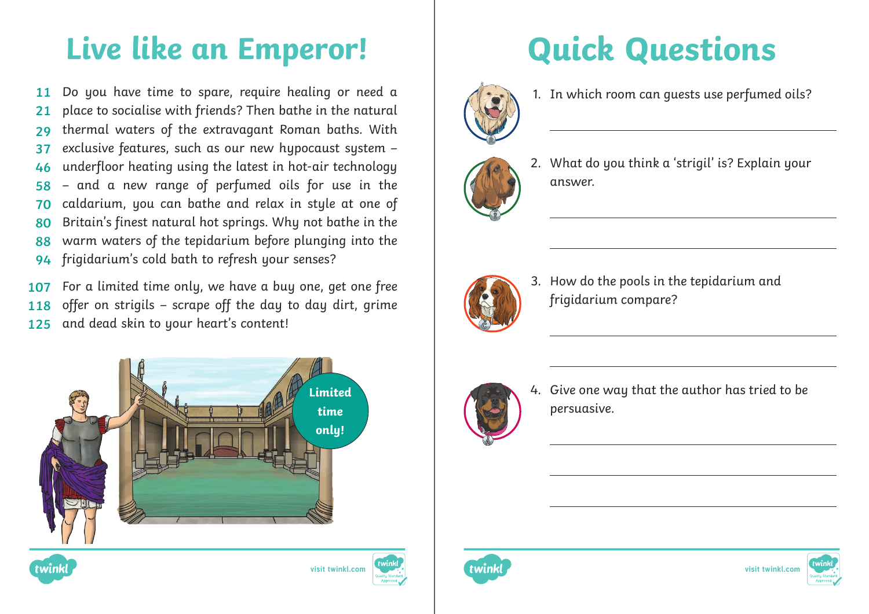# **Live like an Emperor! Quick Questions**

Do you have time to spare, require healing or need a place to socialise with friends? Then bathe in the natural thermal waters of the extravagant Roman baths. With exclusive features, such as our new hypocaust system – underfloor heating using the latest in hot-air technology – and a new range of perfumed oils for use in the caldarium, you can bathe and relax in style at one of Britain's finest natural hot springs. Why not bathe in the warm waters of the tepidarium before plunging into the frigidarium's cold bath to refresh your senses? **11 21 29 37 46 58 70 80 88 94**

For a limited time only, we have a buy one, get one free offer on strigils – scrape off the day to day dirt, grime and dead skin to your heart's content! **107 118 125**







1. In which room can guests use perfumed oils?



2. What do you think a 'strigil' is? Explain your answer.



3. How do the pools in the tepidarium and frigidarium compare?



4. Give one way that the author has tried to be persuasive.